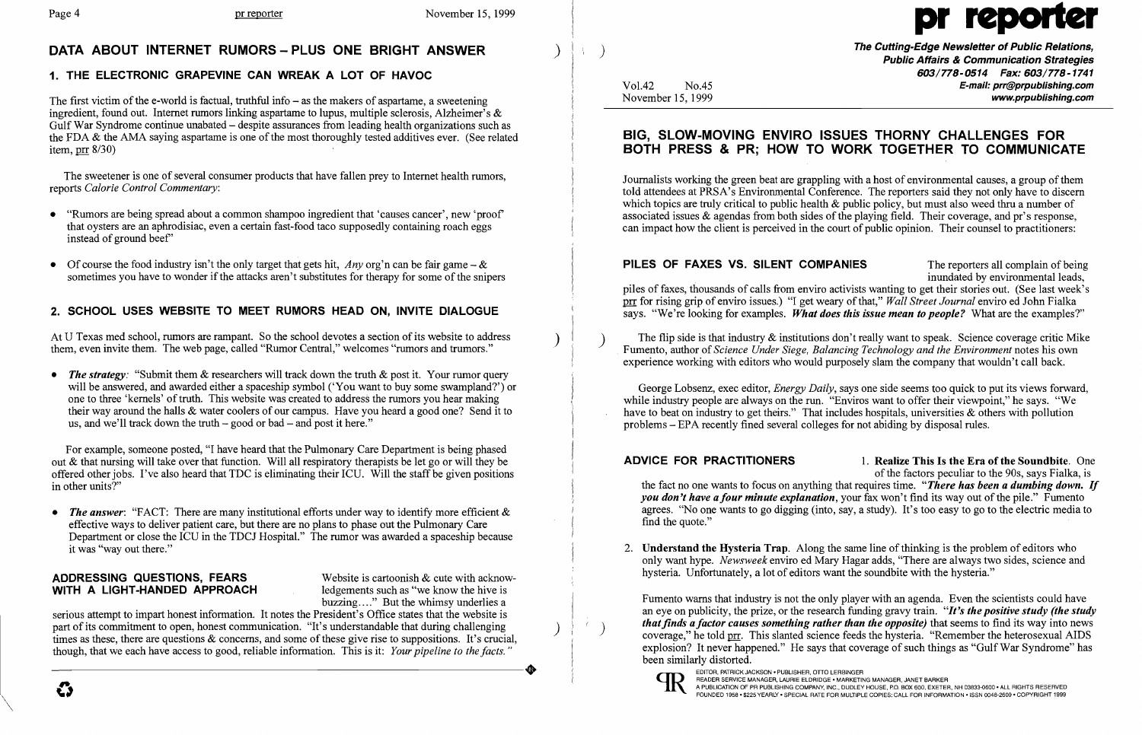## DATA ABOUT INTERNET RUMORS - PLUS ONE BRIGHT ANSWER

## 1. THE ELECTRONIC GRAPEVINE CAN WREAK A LOT OF HAVOC

The first victim of the e-world is factual, truthful info  $-$  as the makers of aspartame, a sweetening ingredient, found out. Internet rumors linking aspartame to lupus, multiple sclerosis, Alzheimer's & Gulf War Syndrome continue unabated – despite assurances from leading health organizations such as the FDA  $\&$  the AMA saying aspartame is one of the most thoroughly tested additives ever. (See related item,  $\text{prr}$  8/30)

- "Rumors are being spread about a common shampoo ingredient that 'causes cancer', new 'proof' that oysters are an aphrodisiac, even a certain fast-food taco supposedly containing roach eggs instead of ground beef'
- Of course the food industry isn't the only target that gets hit, *Any* org'n can be fair game & sometimes you have to wonder if the attacks aren't substitutes for therapy for some of the snipers

The sweetener is one of several consumer products that have fallen prey to Internet health rumors, reports *Calorie Control Commentary:* 

## 2. SCHOOL USES WEBSITE TO MEET RUMORS HEAD ON, INVITE DIALOGUE

• *The answer*: "FACT: There are many institutional efforts under way to identify more efficient & effective ways to deliver patient care, but there are no plans to phase out the Pulmonary Care Department or close the ICU in the TDCJ Hospital." The rumor was awarded a spaceship because it was "way out there."

## ADDRESSING QUESTIONS, FEARS Website is cartoonish  $\&$  cute with acknow-<br>WITH A LIGHT-HANDED APPROACH ledgements such as "we know the hive is WITH A LIGHT-HANDED APPROACH

buzzing ...." But the whimsy underlies a

At U Texas med school, rumors are rampant. So the school devotes a section of its website to address them, even invite them. The web page, called "Rumor Central," welcomes "rumors and trumors." )

• The strategy: "Submit them & researchers will track down the truth & post it. Your rumor query will be answered, and awarded either a spaceship symbol ('You want to buy some swampland?') or one to three 'kernels' of truth. This website was created to address the rumors you hear making their way around the halls & water coolers of our campus. Have you heard a good one? Send it to us, and we'll track down the truth  $-$  good or bad  $-$  and post it here."

The Cutting-Edge Newsletter of Public Relations, ) Public Affairs & Communication Strategies 603/778-0514 Fax: 603/778-1741 Vo1.42 No.45 E-mail: prr@prpublishing.com November 15, 1999 *November 15, 1999 November 15, 1999* 

### ADVICE FOR PRACTITIONERS 1. Realize This Is the Era of the Soundbite. One

For example, someone posted, "I have heard that the Pulmonary Care Department is being phased out & that nursing will take over that function. Will all respiratory therapists be let go or will they be offered other jobs. I've also heard that TDC is eliminating their ICU. Will the staff be given positions in other units?"

PILES OF FAXES VS. SILENT COMPANIES The reporters all complain of being inundated by environmental leads, piles of faxes, thousands of calls from enviro activists wanting to get their stories out. (See last week's prr for rising grip of enviro issues.) "I get weary of that," *Wall Street Journal* enviro ed John Fialka says. "We're looking for examples. *What does this issue mean to people?* What are the examples?"

serious attempt to impart honest information. It notes the President's Office states that the website is part of its commitment to open, honest communication. "It's understandable that during challenging times as these, there are questions & concerns, and some of these give rise to suppositions. It's crucial, though, that we each have access to good, reliable information. This is it: *Your pipeline to the facts.*<br>  $\bullet$ though, that we each have access to good, reliable information. This is it: *Your pipeline to the facts. "* 

4

)

 $\left( \begin{array}{c} 1 \ 1 \end{array} \right)$ 

EDITOR, PATRICK JACKSON • PUBLISHER, OTTO LERBINGER<br>READER SERVICE MANAGER, LAURIE ELDRIDGE • MARKETING MANAGER, JANET BARKER<br>FOUNDED 1958 • \$225 YEARLY • SPECIAL RATE FOR MULTIPLE COPIES: CALL FOR INFORMATION • ISSN 0048-

 $\setminus$ 

# Page 4 pr reporter November 15, 1999

## BIG, SLOW-MOVING ENVIRO ISSUES THORNY CHALLENGES FOR BOTH PRESS & PR; HOW TO WORK TOGETHER TO COMMUNICATE

Journalists working the green beat are grappling with a host of environmental causes, a group of them told attendees at PRSA's Environmental Conference. The reporters said they not only have to discern which topics are truly critical to public health  $\&$  public policy, but must also weed thru a number of associated issues & agendas from both sides of the playing field. Their coverage, and pr's response, can impact how the client is perceived in the court of public opinion. Their counsel to practitioners:

) The flip side is that industry & institutions don't really want to speak. Science coverage critic Mike Fumento, author of *Science Under Siege, Balancing Technology and the Environment* notes his own experience working with editors who would purposely slam the company that wouldn't call back.

George Lobsenz, exec editor, *Energy Daily,* says one side seems too quick to put its views forward, while industry people are always on the run. "Enviros want to offer their viewpoint," he says. "We have to beat on industry to get theirs." That includes hospitals, universities & others with pollution problems - EPA recently fined several colleges for not abiding by disposal rules.

of the factors peculiar to the 90s, says Fialka, is the fact no one wants to focus on anything that requires time. *"There has been a dumbing down. If you don't have a four minute explanation, your fax won't find its way out of the pile.*" Fumento agrees. "No one wants to go digging (into, say, a study). It's too easy to go to the electric media to find the quote."

2. Understand the Hysteria Trap. Along the same line of thinking is the problem of editors who only want hype. *Newsweek* enviro ed Mary Hagar adds, "There are always two sides, science and

hysteria. Unfortunately, a lot of editors want the soundbite with the hysteria."

Fumento warns that industry is not the only player with an agenda. Even the scientists could have an eye on publicity, the prize, or the research funding gravy train. *"It's the positive study (the study that finds a factor causes something rather than the opposite)* that seems to find its way into news coverage," he told prr. This slanted science feeds the hysteria. "Remember the heterosexual AIDS explosion? It never happened." He says that coverage of such things as "Gulf War Syndrome" has been similarly distorted.